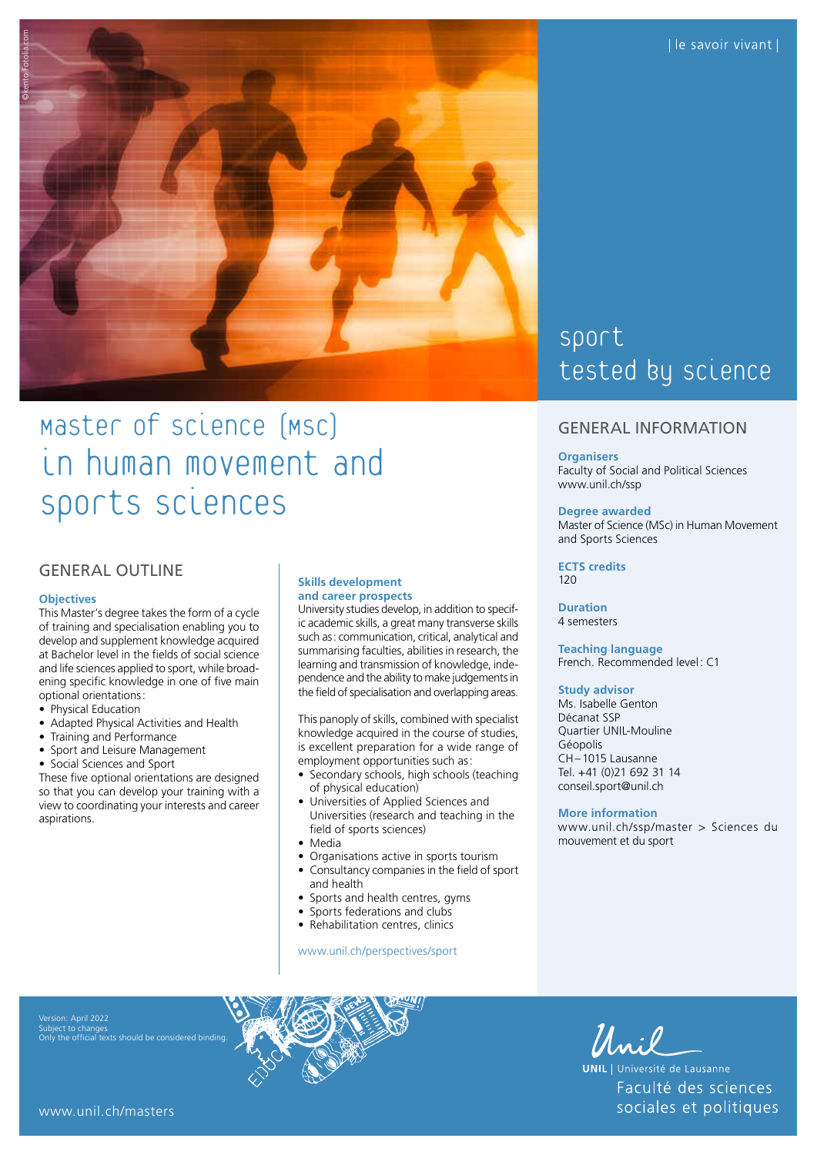

# Master of science (MSC) in human movement and sports sciences

# GENERAL OUTLINE

#### **Objectives**

This Master's degree takes the form of a cycle of training and specialisation enabling you to develop and supplement knowledge acquired at Bachelor level in the fields of social science and life sciences applied to sport, while broadening specific knowledge in one of five main optional orientations:

- Physical Education
- Adapted Physical Activities and Health
- Training and Performance
- Sport and Leisure Management
- Social Sciences and Sport

These five optional orientations are designed so that you can develop your training with a view to coordinating your interests and career aspirations.

## **Skills development and career prospects**

University studies develop, in addition to specific academic skills, a great many transverse skills such as: communication, critical, analytical and summarising faculties, abilities in research, the learning and transmission of knowledge, independence and the ability to make judgements in the field of specialisation and overlapping areas.

This panoply of skills, combined with specialist knowledge acquired in the course of studies, is excellent preparation for a wide range of employment opportunities such as:

- Secondary schools, high schools (teaching of physical education)
- Universities of Applied Sciences and Universities (research and teaching in the field of sports sciences)
- Media
- Organisations active in sports tourism
- Consultancy companies in the field of sport and health
- Sports and health centres, gyms
- Sports federations and clubs
- Rehabilitation centres, clinics

[www.unil.ch/perspectives/sport](http://www.unil.ch/perspectives/sport)

# Sport tested by science

## GENERAL INFORMATION

#### **Organisers**

Faculty of Social and Political Sciences [www.unil.ch/ssp](http://www.unil.ch/ssp)

#### **Degree awarded**

Master of Science (MSc) in Human Movement and Sports Sciences

**ECTS credits**  $120$ 

**Duration** 4 semesters

**Teaching language** French. Recommended level: C1

#### **Study advisor**

Ms. Isabelle Genton Décanat SSP Quartier UNIL-Mouline Géopolis CH–1015 Lausanne Tel. +41 (0)21 692 31 14 [conseil.sport@unil.ch](mailto:conseil.sport@unil.ch)

#### **More information**

[www.unil.ch/ssp/master](http://www.unil.ch/ssp/master) > Sciences du mouvement et du sport

Subject to changes Only the official texts should be considered binding.



Unil

**UNIL** | Université de Lausanne Faculté des sciences sociales et politiques